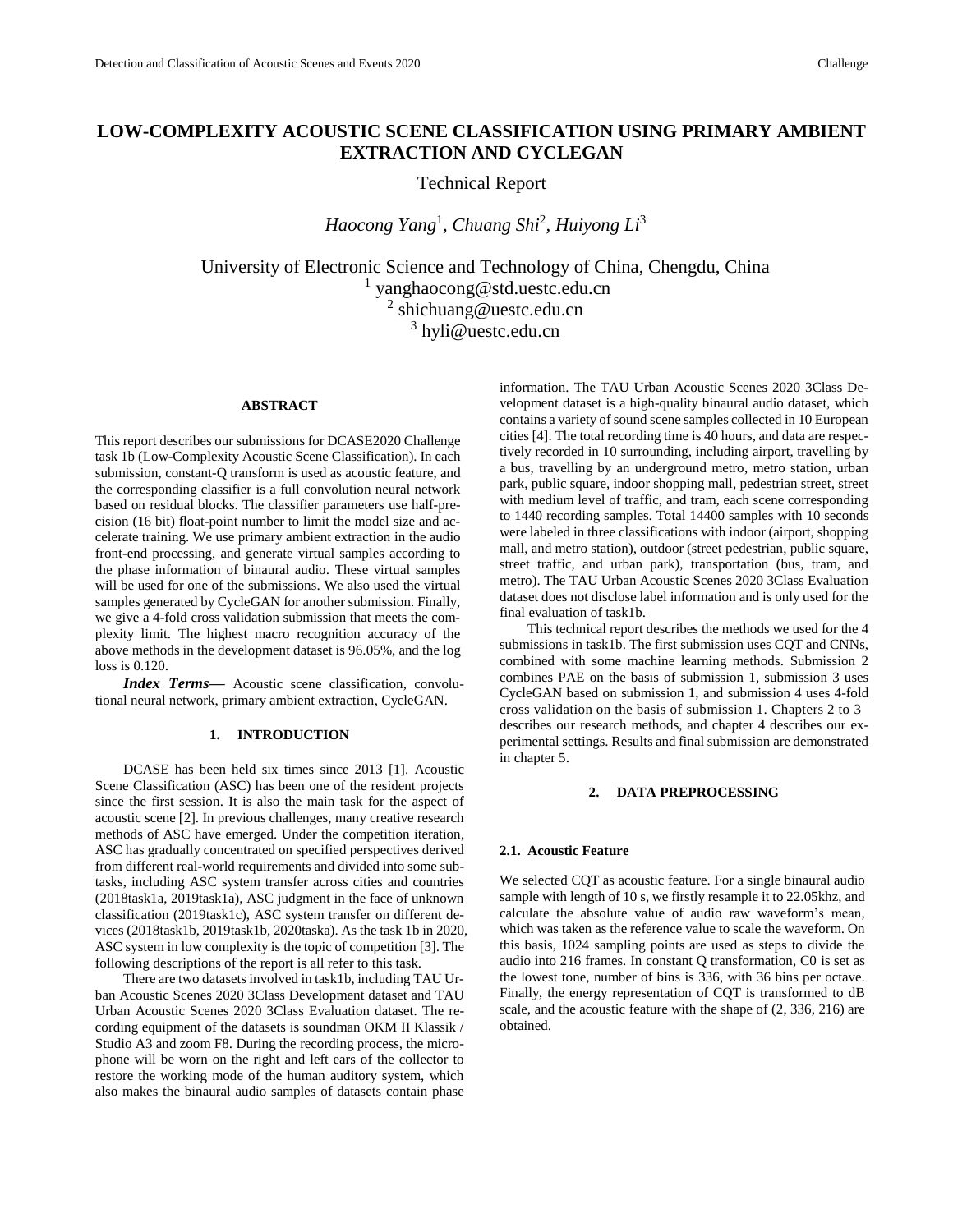# **LOW-COMPLEXITY ACOUSTIC SCENE CLASSIFICATION USING PRIMARY AMBIENT EXTRACTION AND CYCLEGAN**

Technical Report

*Haocong Yang*<sup>1</sup> *, Chuang Shi*<sup>2</sup> *, Huiyong Li*<sup>3</sup>

University of Electronic Science and Technology of China, Chengdu, China 1 yanghaocong@std.uestc.edu.cn <sup>2</sup> shichuang@uestc.edu.cn <sup>3</sup> hyli@uestc.edu.cn

# **ABSTRACT**

This report describes our submissions for DCASE2020 Challenge task 1b (Low-Complexity Acoustic Scene Classification). In each submission, constant-Q transform is used as acoustic feature, and the corresponding classifier is a full convolution neural network based on residual blocks. The classifier parameters use half-precision (16 bit) float-point number to limit the model size and accelerate training. We use primary ambient extraction in the audio front-end processing, and generate virtual samples according to the phase information of binaural audio. These virtual samples will be used for one of the submissions. We also used the virtual samples generated by CycleGAN for another submission. Finally, we give a 4-fold cross validation submission that meets the complexity limit. The highest macro recognition accuracy of the above methods in the development dataset is 96.05%, and the log loss is 0.120.

*Index Terms—* Acoustic scene classification, convolutional neural network, primary ambient extraction, CycleGAN.

# **1. INTRODUCTION**

DCASE has been held six times since 2013 [1]. Acoustic Scene Classification (ASC) has been one of the resident projects since the first session. It is also the main task for the aspect of acoustic scene [2]. In previous challenges, many creative research methods of ASC have emerged. Under the competition iteration, ASC has gradually concentrated on specified perspectives derived from different real-world requirements and divided into some subtasks, including ASC system transfer across cities and countries (2018task1a, 2019task1a), ASC judgment in the face of unknown classification (2019task1c), ASC system transfer on different devices (2018task1b, 2019task1b, 2020taska). As the task 1b in 2020, ASC system in low complexity is the topic of competition [3]. The following descriptions of the report is all refer to this task.

There are two datasets involved in task1b, including TAU Urban Acoustic Scenes 2020 3Class Development dataset and TAU Urban Acoustic Scenes 2020 3Class Evaluation dataset. The recording equipment of the datasets is soundman OKM II Klassik / Studio A3 and zoom F8. During the recording process, the microphone will be worn on the right and left ears of the collector to restore the working mode of the human auditory system, which also makes the binaural audio samples of datasets contain phase information. The TAU Urban Acoustic Scenes 2020 3Class Development dataset is a high-quality binaural audio dataset, which contains a variety of sound scene samples collected in 10 European cities [4]. The total recording time is 40 hours, and data are respectively recorded in 10 surrounding, including airport, travelling by a bus, travelling by an underground metro, metro station, urban park, public square, indoor shopping mall, pedestrian street, street with medium level of traffic, and tram, each scene corresponding to 1440 recording samples. Total 14400 samples with 10 seconds were labeled in three classifications with indoor (airport, shopping mall, and metro station), outdoor (street pedestrian, public square, street traffic, and urban park), transportation (bus, tram, and metro). The TAU Urban Acoustic Scenes 2020 3Class Evaluation dataset does not disclose label information and is only used for the final evaluation of task1b.

This technical report describes the methods we used for the 4 submissions in task1b. The first submission uses CQT and CNNs, combined with some machine learning methods. Submission 2 combines PAE on the basis of submission 1, submission 3 uses CycleGAN based on submission 1, and submission 4 uses 4-fold cross validation on the basis of submission 1. Chapters 2 to 3 describes our research methods, and chapter 4 describes our experimental settings. Results and final submission are demonstrated in chapter 5.

# **2. DATA PREPROCESSING**

#### **2.1. Acoustic Feature**

We selected CQT as acoustic feature. For a single binaural audio sample with length of 10 s, we firstly resample it to 22.05khz, and calculate the absolute value of audio raw waveform's mean, which was taken as the reference value to scale the waveform. On this basis, 1024 sampling points are used as steps to divide the audio into 216 frames. In constant Q transformation, C0 is set as the lowest tone, number of bins is 336, with 36 bins per octave. Finally, the energy representation of CQT is transformed to dB scale, and the acoustic feature with the shape of (2, 336, 216) are obtained.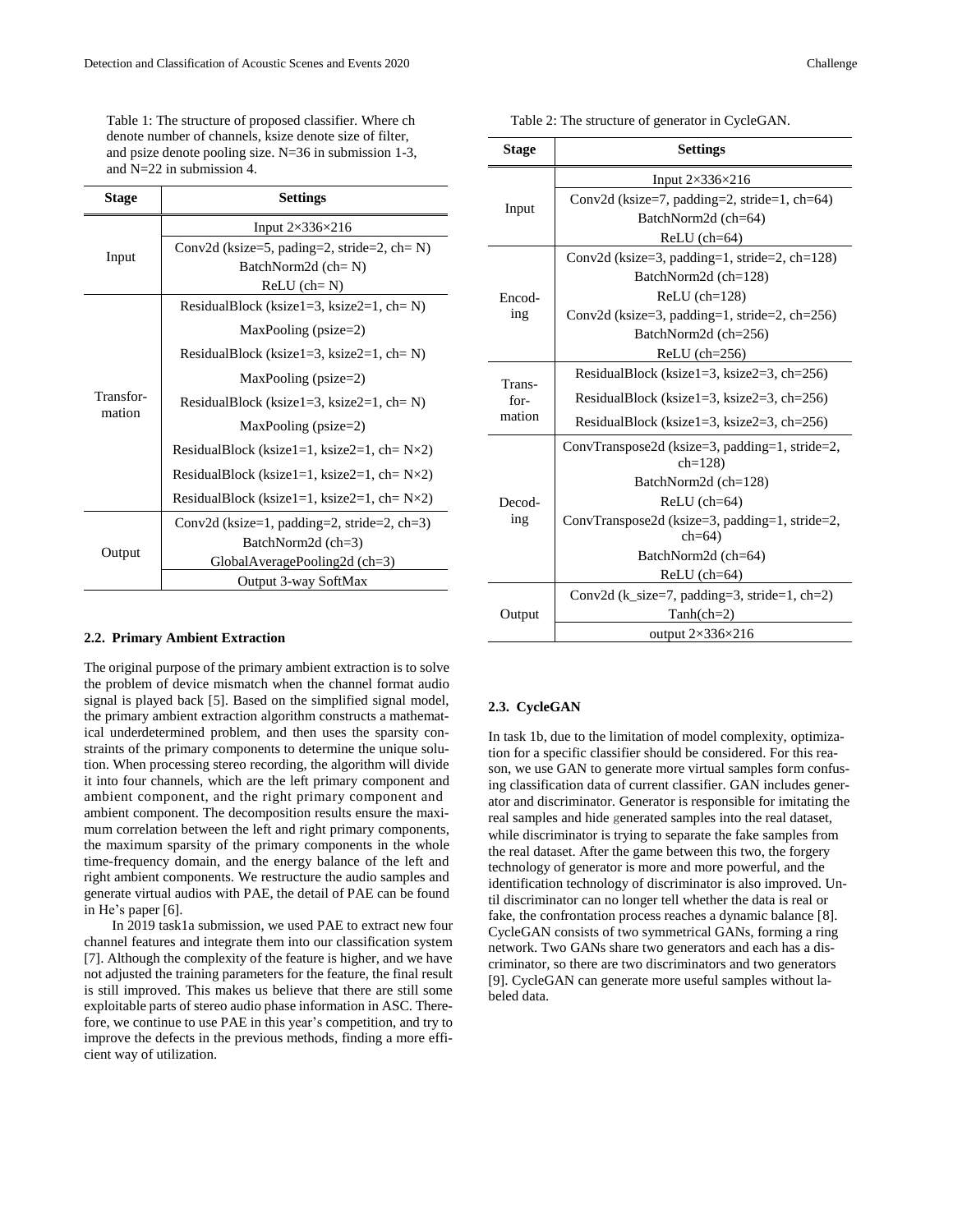Table 1: The structure of proposed classifier. Where ch denote number of channels, ksize denote size of filter, and psize denote pooling size. N=36 in submission 1-3, and N=22 in submission 4.

| <b>Stage</b>        | <b>Settings</b>                                       |  |  |
|---------------------|-------------------------------------------------------|--|--|
| Input               | Input $2\times336\times216$                           |  |  |
|                     | Conv2d (ksize=5, pading=2, stride=2, ch= $N$ )        |  |  |
|                     | BatchNorm2d (ch= N)                                   |  |  |
|                     | $ReLU$ (ch= $N$ )                                     |  |  |
| Transfor-<br>mation | ResidualBlock (ksize1=3, ksize2=1, ch= $N$ )          |  |  |
|                     | $MaxPooling$ (psize=2)                                |  |  |
|                     | ResidualBlock (ksize1=3, ksize2=1, ch= $N$ )          |  |  |
|                     | $MaxPooling$ (psize=2)                                |  |  |
|                     | ResidualBlock (ksize1=3, ksize2=1, ch= $N$ )          |  |  |
|                     | $MaxPooling$ (psize=2)                                |  |  |
|                     | ResidualBlock (ksize1=1, ksize2=1, ch= $N\times2$ )   |  |  |
|                     | ResidualBlock (ksize1=1, ksize2=1, ch= $N\times2$ )   |  |  |
|                     | ResidualBlock (ksize1=1, ksize2=1, ch= $N \times 2$ ) |  |  |
| Output              | Conv2d (ksize=1, padding=2, stride=2, ch=3)           |  |  |
|                     | BatchNorm2d (ch=3)                                    |  |  |
|                     | $GlobalAveragePooling2d$ (ch=3)                       |  |  |
|                     | Output 3-way SoftMax                                  |  |  |

#### **2.2. Primary Ambient Extraction**

The original purpose of the primary ambient extraction is to solve the problem of device mismatch when the channel format audio signal is played back [5]. Based on the simplified signal model, the primary ambient extraction algorithm constructs a mathematical underdetermined problem, and then uses the sparsity constraints of the primary components to determine the unique solution. When processing stereo recording, the algorithm will divide it into four channels, which are the left primary component and ambient component, and the right primary component and ambient component. The decomposition results ensure the maximum correlation between the left and right primary components, the maximum sparsity of the primary components in the whole time-frequency domain, and the energy balance of the left and right ambient components. We restructure the audio samples and generate virtual audios with PAE, the detail of PAE can be found in He's paper [6].

In 2019 task1a submission, we used PAE to extract new four channel features and integrate them into our classification system [7]. Although the complexity of the feature is higher, and we have not adjusted the training parameters for the feature, the final result is still improved. This makes us believe that there are still some exploitable parts of stereo audio phase information in ASC. Therefore, we continue to use PAE in this year's competition, and try to improve the defects in the previous methods, finding a more efficient way of utilization.

Table 2: The structure of generator in CycleGAN.

| <b>Settings</b>                                              |  |  |
|--------------------------------------------------------------|--|--|
| Input $2\times336\times216$                                  |  |  |
| Conv2d (ksize=7, padding=2, stride=1, ch=64)                 |  |  |
| BatchNorm2d (ch=64)                                          |  |  |
| $ReLU$ (ch=64)                                               |  |  |
| Conv2d (ksize=3, padding=1, stride=2, ch=128)                |  |  |
| BatchNorm2d (ch=128)                                         |  |  |
| $ReLU$ (ch= $128$ )                                          |  |  |
| Conv2d (ksize=3, padding=1, stride=2, ch=256)                |  |  |
| BatchNorm2d (ch=256)                                         |  |  |
| $ReLU$ (ch=256)                                              |  |  |
| ResidualBlock (ksize1=3, ksize2=3, ch=256)                   |  |  |
| ResidualBlock (ksize1=3, ksize2=3, ch=256)                   |  |  |
| ResidualBlock (ksize1=3, ksize2=3, ch=256)                   |  |  |
| ConvTranspose2d (ksize=3, padding=1, stride=2,<br>$ch = 128$ |  |  |
| BatchNorm2d (ch=128)                                         |  |  |
| $ReLU$ (ch=64)                                               |  |  |
| ConvTranspose2d (ksize=3, padding=1, stride=2,<br>$ch = 64$  |  |  |
| BatchNorm2d (ch=64)                                          |  |  |
| $ReLU$ (ch=64)                                               |  |  |
| Conv2d (k_size=7, padding=3, stride=1, ch=2)                 |  |  |
| $Tanh(ch=2)$                                                 |  |  |
|                                                              |  |  |
|                                                              |  |  |

# **2.3. CycleGAN**

In task 1b, due to the limitation of model complexity, optimization for a specific classifier should be considered. For this reason, we use GAN to generate more virtual samples form confusing classification data of current classifier. GAN includes generator and discriminator. Generator is responsible for imitating the real samples and hide generated samples into the real dataset, while discriminator is trying to separate the fake samples from the real dataset. After the game between this two, the forgery technology of generator is more and more powerful, and the identification technology of discriminator is also improved. Until discriminator can no longer tell whether the data is real or fake, the confrontation process reaches a dynamic balance [8]. CycleGAN consists of two symmetrical GANs, forming a ring network. Two GANs share two generators and each has a discriminator, so there are two discriminators and two generators [9]. CycleGAN can generate more useful samples without labeled data.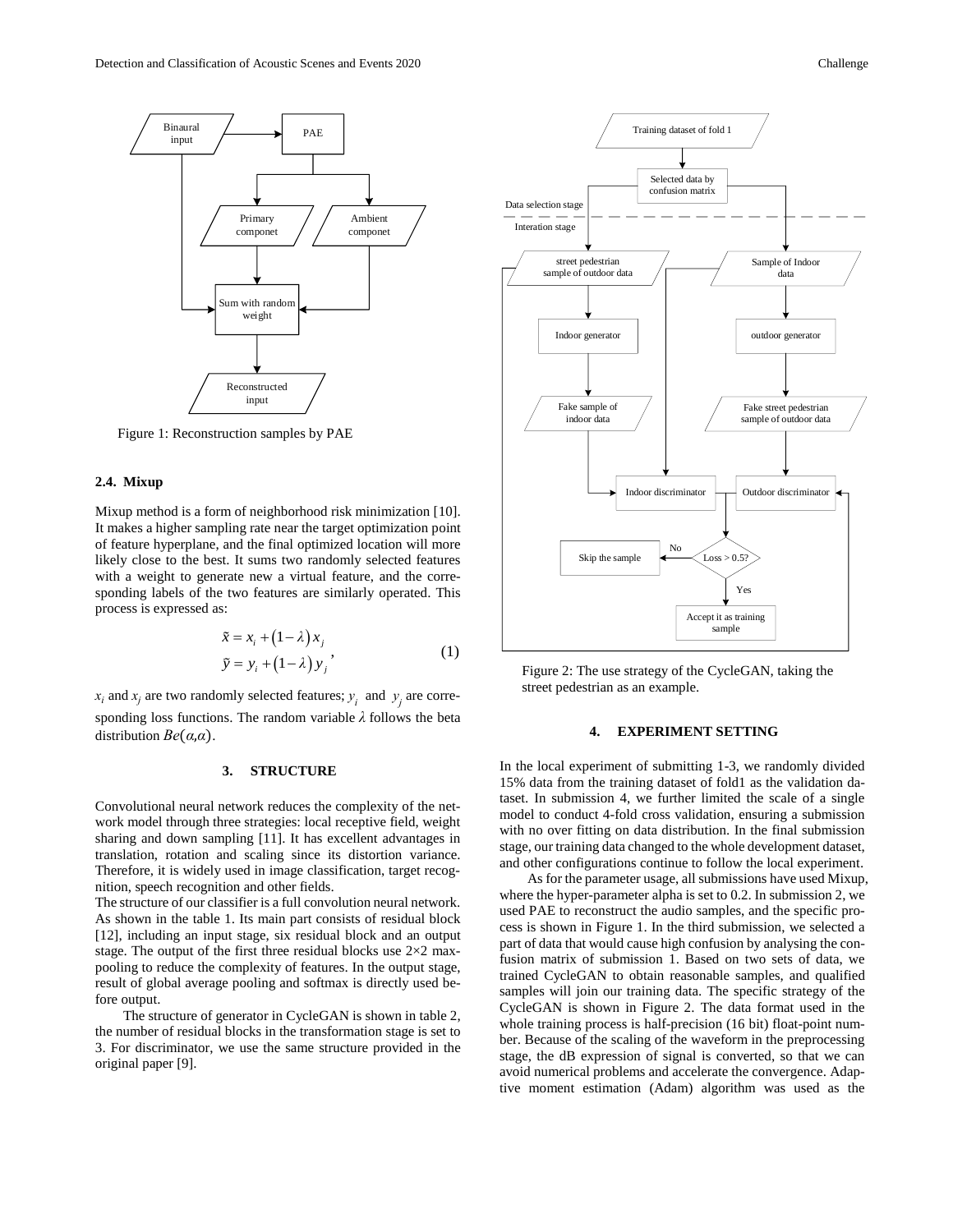

Figure 1: Reconstruction samples by PAE

#### **2.4. Mixup**

Mixup method is a form of neighborhood risk minimization [10]. It makes a higher sampling rate near the target optimization point of feature hyperplane, and the final optimized location will more likely close to the best. It sums two randomly selected features with a weight to generate new a virtual feature, and the corresponding labels of the two features are similarly operated. This process is expressed as:

$$
\tilde{x} = x_i + (1 - \lambda)x_j
$$
\n
$$
\tilde{y} = y_i + (1 - \lambda)y_j
$$
\n(1)

 $x_i$  and  $x_j$  are two randomly selected features;  $y_i$  and  $y_j$  are corresponding loss functions. The random variable *λ* follows the beta distribution *Be*(*α*,*α*).

# **3. STRUCTURE**

Convolutional neural network reduces the complexity of the network model through three strategies: local receptive field, weight sharing and down sampling [11]. It has excellent advantages in translation, rotation and scaling since its distortion variance. Therefore, it is widely used in image classification, target recognition, speech recognition and other fields.

The structure of our classifier is a full convolution neural network. As shown in the table 1. Its main part consists of residual block [12], including an input stage, six residual block and an output stage. The output of the first three residual blocks use  $2\times 2$  maxpooling to reduce the complexity of features. In the output stage, result of global average pooling and softmax is directly used before output.

The structure of generator in CycleGAN is shown in table 2, the number of residual blocks in the transformation stage is set to 3. For discriminator, we use the same structure provided in the original paper [9].



Figure 2: The use strategy of the CycleGAN, taking the street pedestrian as an example.

# **4. EXPERIMENT SETTING**

In the local experiment of submitting 1-3, we randomly divided 15% data from the training dataset of fold1 as the validation dataset. In submission 4, we further limited the scale of a single model to conduct 4-fold cross validation, ensuring a submission with no over fitting on data distribution. In the final submission stage, our training data changed to the whole development dataset, and other configurations continue to follow the local experiment.

As for the parameter usage, all submissions have used Mixup, where the hyper-parameter alpha is set to 0.2. In submission 2, we used PAE to reconstruct the audio samples, and the specific process is shown in Figure 1. In the third submission, we selected a part of data that would cause high confusion by analysing the confusion matrix of submission 1. Based on two sets of data, we trained CycleGAN to obtain reasonable samples, and qualified samples will join our training data. The specific strategy of the CycleGAN is shown in Figure 2. The data format used in the whole training process is half-precision (16 bit) float-point number. Because of the scaling of the waveform in the preprocessing stage, the dB expression of signal is converted, so that we can avoid numerical problems and accelerate the convergence. Adaptive moment estimation (Adam) algorithm was used as the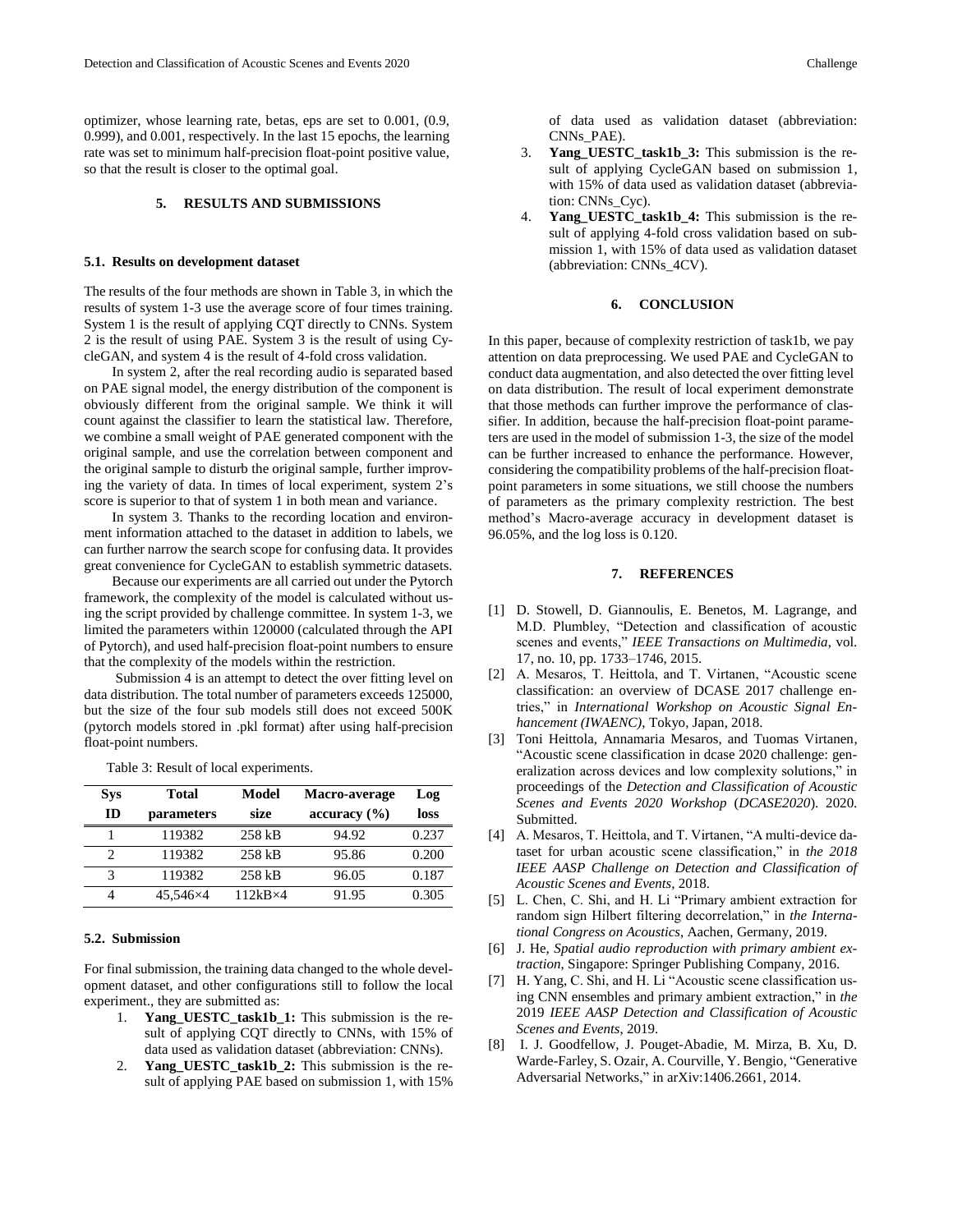optimizer, whose learning rate, betas, eps are set to 0.001, (0.9, 0.999), and 0.001, respectively. In the last 15 epochs, the learning rate was set to minimum half-precision float-point positive value, so that the result is closer to the optimal goal.

# **5. RESULTS AND SUBMISSIONS**

#### **5.1. Results on development dataset**

The results of the four methods are shown in Table 3, in which the results of system 1-3 use the average score of four times training. System 1 is the result of applying CQT directly to CNNs. System 2 is the result of using PAE. System 3 is the result of using CycleGAN, and system 4 is the result of 4-fold cross validation.

In system 2, after the real recording audio is separated based on PAE signal model, the energy distribution of the component is obviously different from the original sample. We think it will count against the classifier to learn the statistical law. Therefore, we combine a small weight of PAE generated component with the original sample, and use the correlation between component and the original sample to disturb the original sample, further improving the variety of data. In times of local experiment, system 2's score is superior to that of system 1 in both mean and variance.

In system 3. Thanks to the recording location and environment information attached to the dataset in addition to labels, we can further narrow the search scope for confusing data. It provides great convenience for CycleGAN to establish symmetric datasets.

Because our experiments are all carried out under the Pytorch framework, the complexity of the model is calculated without using the script provided by challenge committee. In system 1-3, we limited the parameters within 120000 (calculated through the API of Pytorch), and used half-precision float-point numbers to ensure that the complexity of the models within the restriction.

Submission 4 is an attempt to detect the over fitting level on data distribution. The total number of parameters exceeds 125000, but the size of the four sub models still does not exceed 500K (pytorch models stored in .pkl format) after using half-precision float-point numbers.

Table 3: Result of local experiments.

| <b>Sys</b> | Total      | Model            | Macro-average | Log   |
|------------|------------|------------------|---------------|-------|
| ID         | parameters | size             | accuracy (%)  | loss  |
|            | 119382     | 258 kB           | 94.92         | 0.237 |
|            | 119382     | 258 kB           | 95.86         | 0.200 |
| 3          | 119382     | 258 kB           | 96.05         | 0.187 |
|            | 45.546×4   | $112kB \times 4$ | 91.95         | 0.305 |

### **5.2. Submission**

For final submission, the training data changed to the whole development dataset, and other configurations still to follow the local experiment., they are submitted as:

- 1. **Yang\_UESTC\_task1b\_1:** This submission is the result of applying CQT directly to CNNs, with 15% of data used as validation dataset (abbreviation: CNNs).
- 2. **Yang\_UESTC\_task1b\_2:** This submission is the result of applying PAE based on submission 1, with 15%

of data used as validation dataset (abbreviation: CNNs\_PAE).

- 3. **Yang\_UESTC\_task1b\_3:** This submission is the result of applying CycleGAN based on submission 1, with 15% of data used as validation dataset (abbreviation: CNNs\_Cyc).
- 4. **Yang\_UESTC\_task1b\_4:** This submission is the result of applying 4-fold cross validation based on submission 1, with 15% of data used as validation dataset (abbreviation: CNNs\_4CV).

# **6. CONCLUSION**

In this paper, because of complexity restriction of task1b, we pay attention on data preprocessing. We used PAE and CycleGAN to conduct data augmentation, and also detected the over fitting level on data distribution. The result of local experiment demonstrate that those methods can further improve the performance of classifier. In addition, because the half-precision float-point parameters are used in the model of submission 1-3, the size of the model can be further increased to enhance the performance. However, considering the compatibility problems of the half-precision floatpoint parameters in some situations, we still choose the numbers of parameters as the primary complexity restriction. The best method's Macro-average accuracy in development dataset is 96.05%, and the log loss is 0.120.

#### **7. REFERENCES**

- [1] D. Stowell, D. Giannoulis, E. Benetos, M. Lagrange, and M.D. Plumbley, "Detection and classification of acoustic scenes and events," *IEEE Transactions on Multimedia*, vol. 17, no. 10, pp. 1733–1746, 2015.
- [2] A. Mesaros, T. Heittola, and T. Virtanen, "Acoustic scene classification: an overview of DCASE 2017 challenge entries," in *International Workshop on Acoustic Signal Enhancement (IWAENC)*, Tokyo, Japan, 2018.
- [3] Toni Heittola, Annamaria Mesaros, and Tuomas Virtanen, "Acoustic scene classification in dcase 2020 challenge: generalization across devices and low complexity solutions," in proceedings of the *Detection and Classification of Acoustic Scenes and Events 2020 Workshop* (*DCASE2020*). 2020. Submitted.
- [4] A. Mesaros, T. Heittola, and T. Virtanen, "A multi-device dataset for urban acoustic scene classification," in *the 2018 IEEE AASP Challenge on Detection and Classification of Acoustic Scenes and Events*, 2018.
- [5] L. Chen, C. Shi, and H. Li "Primary ambient extraction for random sign Hilbert filtering decorrelation," in *the International Congress on Acoustics*, Aachen, Germany, 2019.
- [6] J. He, *Spatial audio reproduction with primary ambient extraction*, Singapore: Springer Publishing Company, 2016.
- [7] H. Yang, C. Shi, and H. Li "Acoustic scene classification using CNN ensembles and primary ambient extraction," in *the*  2019 *IEEE AASP Detection and Classification of Acoustic Scenes and Events*, 2019.
- [8] I. J. Goodfellow, J. Pouget-Abadie, M. Mirza, B. Xu, D. Warde-Farley, S. Ozair, A. Courville, Y. Bengio, "Generative Adversarial Networks," in arXiv:1406.2661, 2014.